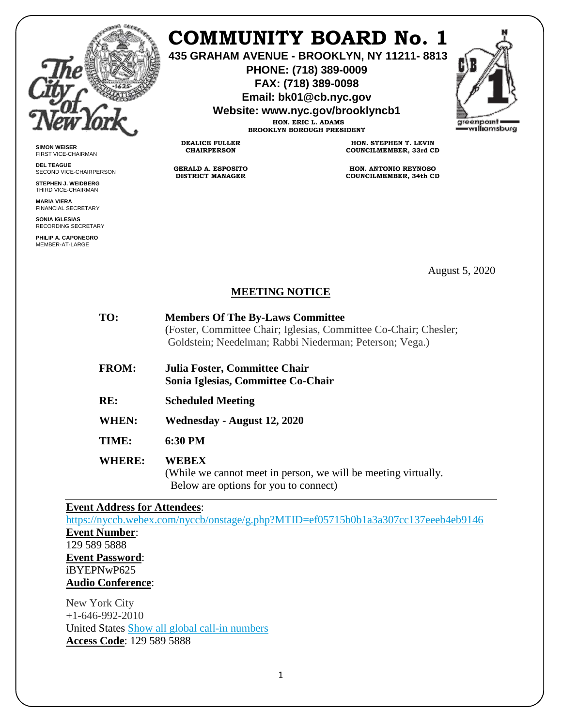

**SIMON WEISER** FIRST VICE-CHAIRMAN **DEL TEAGUE**

SECOND VICE-CHAIRPERSON **STEPHEN J. WEIDBERG** THIRD VICE-CHAIRMAN **MARIA VIERA** FINANCIAL SECRETARY **SONIA IGLESIAS** RECORDING SECRETARY **PHILIP A. CAPONEGRO** MEMBER-AT-LARGE

## **COMMUNITY BOARD No. 1**

**435 GRAHAM AVENUE - BROOKLYN, NY 11211- 8813**

**PHONE: (718) 389-0009 FAX: (718) 389-0098**

**Email: bk01@cb.nyc.gov**

**Website: www.nyc.gov/brooklyncb1**



**HON. ERIC L. ADAMS BROOKLYN BOROUGH PRESIDENT**

**DEALICE FULLER CHAIRPERSON**

**GERALD A. ESPOSITO DISTRICT MANAGER**

**HON. STEPHEN T. LEVIN COUNCILMEMBER, 33rd CD**

**HON. ANTONIO REYNOSO COUNCILMEMBER, 34th CD**

August 5, 2020

## **MEETING NOTICE**

| TO:           | <b>Members Of The By-Laws Committee</b><br>(Foster, Committee Chair; Iglesias, Committee Co-Chair; Chesler;<br>Goldstein; Needelman; Rabbi Niederman; Peterson; Vega.) |
|---------------|------------------------------------------------------------------------------------------------------------------------------------------------------------------------|
| <b>FROM:</b>  | Julia Foster, Committee Chair<br>Sonia Iglesias, Committee Co-Chair                                                                                                    |
| RE:           | <b>Scheduled Meeting</b>                                                                                                                                               |
| <b>WHEN:</b>  | Wednesday - August 12, 2020                                                                                                                                            |
| TIME:         | 6:30 PM                                                                                                                                                                |
| <b>WHERE:</b> | WEBEX<br>(While we cannot meet in person, we will be meeting virtually.<br>Below are options for you to connect)                                                       |
|               |                                                                                                                                                                        |

## **Event Address for Attendees**:

<https://nyccb.webex.com/nyccb/onstage/g.php?MTID=ef05715b0b1a3a307cc137eeeb4eb9146> **Event Number**: 129 589 5888 **Event Password**: iBYEPNwP625 **Audio Conference**:

New York City +1-646-992-2010 United States [Show all global call-in numbers](https://nyccb.webex.com/cmp3300/webcomponents/widget/globalcallin/globalcallin.do?siteurl=nyccb&serviceType=EC&eventID=1072053712&tollFree=0) **Access Code**: 129 589 5888